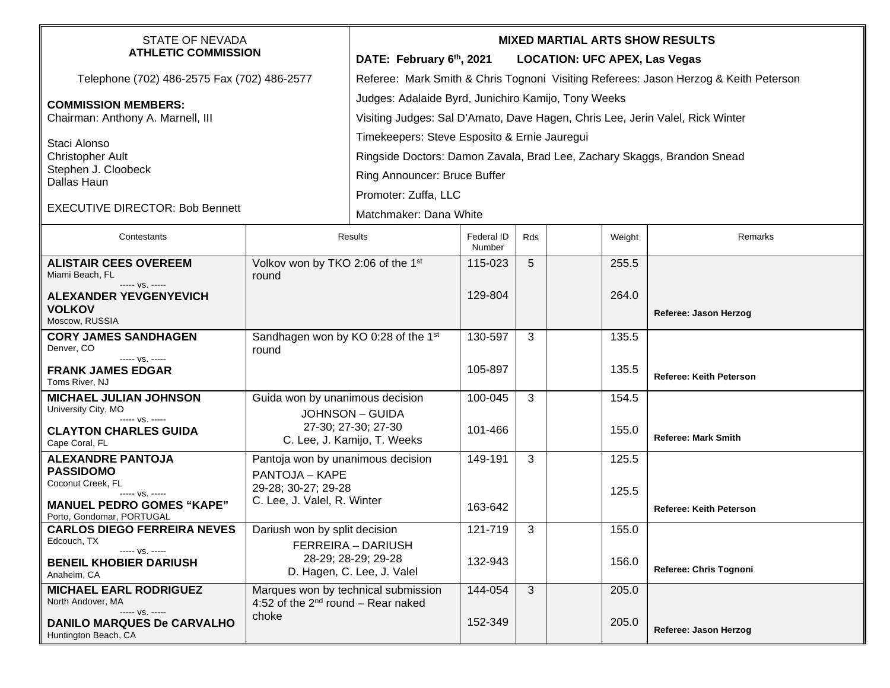| <b>STATE OF NEVADA</b><br><b>ATHLETIC COMMISSION</b>                                                                                                  |                                                                                                           | <b>MIXED MARTIAL ARTS SHOW RESULTS</b><br>DATE: February 6th, 2021<br><b>LOCATION: UFC APEX, Las Vegas</b>                                                                      |                      |              |                |  |                                |  |
|-------------------------------------------------------------------------------------------------------------------------------------------------------|-----------------------------------------------------------------------------------------------------------|---------------------------------------------------------------------------------------------------------------------------------------------------------------------------------|----------------------|--------------|----------------|--|--------------------------------|--|
| Telephone (702) 486-2575 Fax (702) 486-2577                                                                                                           |                                                                                                           | Referee: Mark Smith & Chris Tognoni Visiting Referees: Jason Herzog & Keith Peterson                                                                                            |                      |              |                |  |                                |  |
| <b>COMMISSION MEMBERS:</b><br>Chairman: Anthony A. Marnell, III                                                                                       |                                                                                                           | Judges: Adalaide Byrd, Junichiro Kamijo, Tony Weeks<br>Visiting Judges: Sal D'Amato, Dave Hagen, Chris Lee, Jerin Valel, Rick Winter                                            |                      |              |                |  |                                |  |
| Staci Alonso<br><b>Christopher Ault</b><br>Stephen J. Cloobeck<br>Dallas Haun<br><b>EXECUTIVE DIRECTOR: Bob Bennett</b>                               |                                                                                                           | Timekeepers: Steve Esposito & Ernie Jauregui<br>Ringside Doctors: Damon Zavala, Brad Lee, Zachary Skaggs, Brandon Snead<br>Ring Announcer: Bruce Buffer<br>Promoter: Zuffa, LLC |                      |              |                |  |                                |  |
|                                                                                                                                                       |                                                                                                           | Matchmaker: Dana White                                                                                                                                                          |                      |              |                |  |                                |  |
| Contestants                                                                                                                                           | <b>Results</b>                                                                                            |                                                                                                                                                                                 | Federal ID<br>Number | <b>Rds</b>   | Weight         |  | Remarks                        |  |
| <b>ALISTAIR CEES OVEREEM</b><br>Miami Beach, FL<br>----- VS. -----                                                                                    | Volkov won by TKO 2:06 of the 1st<br>round                                                                |                                                                                                                                                                                 | 115-023              | 5            | 255.5          |  |                                |  |
| <b>ALEXANDER YEVGENYEVICH</b><br><b>VOLKOV</b><br>Moscow, RUSSIA                                                                                      |                                                                                                           |                                                                                                                                                                                 | 129-804              |              | 264.0          |  | Referee: Jason Herzog          |  |
| <b>CORY JAMES SANDHAGEN</b><br>Denver, CO<br>----- VS. -----                                                                                          | Sandhagen won by KO 0:28 of the 1st<br>round                                                              |                                                                                                                                                                                 | 130-597              | 3            | 135.5          |  |                                |  |
| <b>FRANK JAMES EDGAR</b><br>Toms River, NJ                                                                                                            |                                                                                                           |                                                                                                                                                                                 | 105-897              |              | 135.5          |  | <b>Referee: Keith Peterson</b> |  |
| <b>MICHAEL JULIAN JOHNSON</b><br>University City, MO<br>----- VS. -----                                                                               | Guida won by unanimous decision<br><b>JOHNSON - GUIDA</b>                                                 |                                                                                                                                                                                 | 100-045              | 3            | 154.5          |  |                                |  |
| <b>CLAYTON CHARLES GUIDA</b><br>Cape Coral, FL                                                                                                        | 27-30; 27-30; 27-30<br>C. Lee, J. Kamijo, T. Weeks                                                        |                                                                                                                                                                                 | 101-466              |              | 155.0          |  | <b>Referee: Mark Smith</b>     |  |
| <b>ALEXANDRE PANTOJA</b><br><b>PASSIDOMO</b><br>Coconut Creek, FL<br>----- VS. -----<br><b>MANUEL PEDRO GOMES "KAPE"</b><br>Porto, Gondomar, PORTUGAL | Pantoja won by unanimous decision<br>PANTOJA - KAPE<br>29-28; 30-27; 29-28<br>C. Lee, J. Valel, R. Winter |                                                                                                                                                                                 | 149-191<br>163-642   | 3            | 125.5<br>125.5 |  | <b>Referee: Keith Peterson</b> |  |
| <b>CARLOS DIEGO FERREIRA NEVES</b><br>Edcouch, TX                                                                                                     | Dariush won by split decision                                                                             |                                                                                                                                                                                 | 121-719              | 3            | 155.0          |  |                                |  |
| $--- VS. ---$<br><b>BENEIL KHOBIER DARIUSH</b><br>Anaheim, CA                                                                                         | FERREIRA - DARIUSH<br>28-29; 28-29; 29-28<br>D. Hagen, C. Lee, J. Valel                                   |                                                                                                                                                                                 | 132-943              |              | 156.0          |  | Referee: Chris Tognoni         |  |
| <b>MICHAEL EARL RODRIGUEZ</b><br>North Andover, MA<br>----- VS. -----<br><b>DANILO MARQUES De CARVALHO</b><br>Huntington Beach, CA                    | Marques won by technical submission<br>4:52 of the $2^{nd}$ round – Rear naked<br>choke                   |                                                                                                                                                                                 | 144-054<br>152-349   | $\mathbf{3}$ | 205.0<br>205.0 |  | Referee: Jason Herzog          |  |